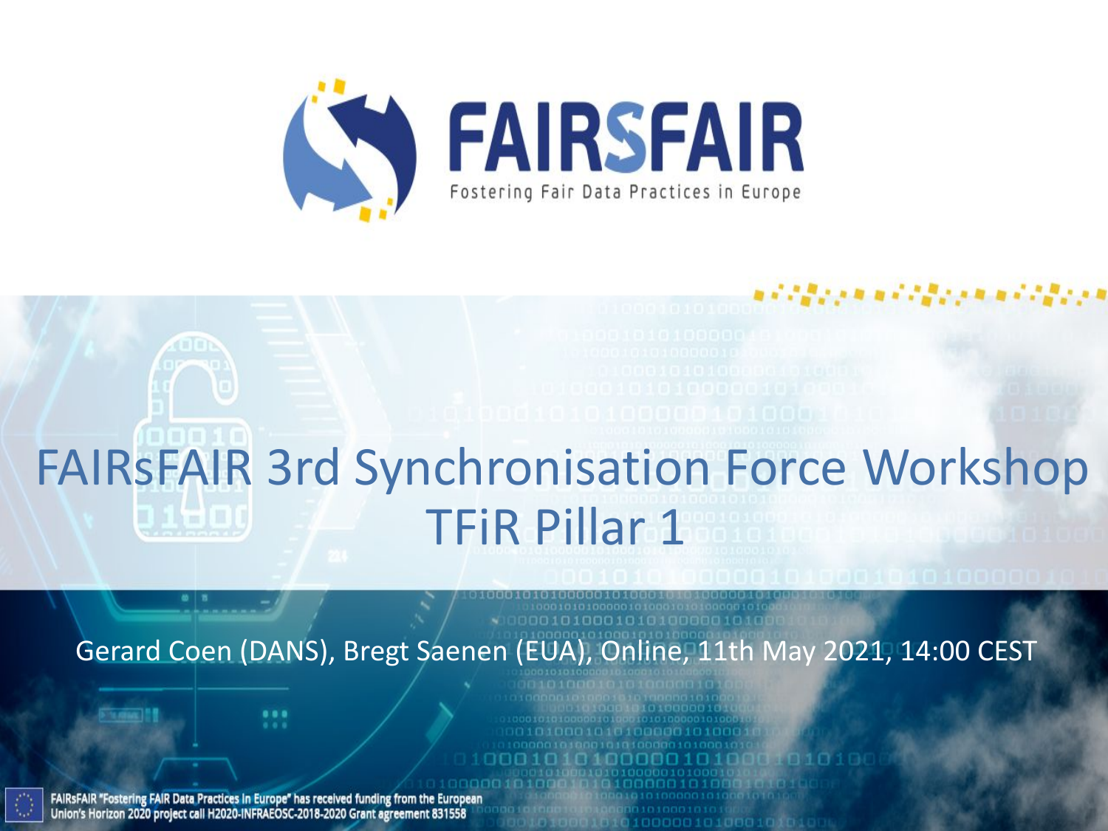

# FAIRsFAIR 3rd Synchronisation Force Workshop TFiR Pillar 1

Gerard Coen (DANS), Bregt Saenen (EUA), Online, 11th May 2021, 14:00 CEST

FAIRSFAIR "Fostering FAIR Data Practices In Europe" has received funding from the European Union's Horizon 2020 project call H2020-INFRAEOSC-2018-2020 Grant agreement 831558

...  $-0.0$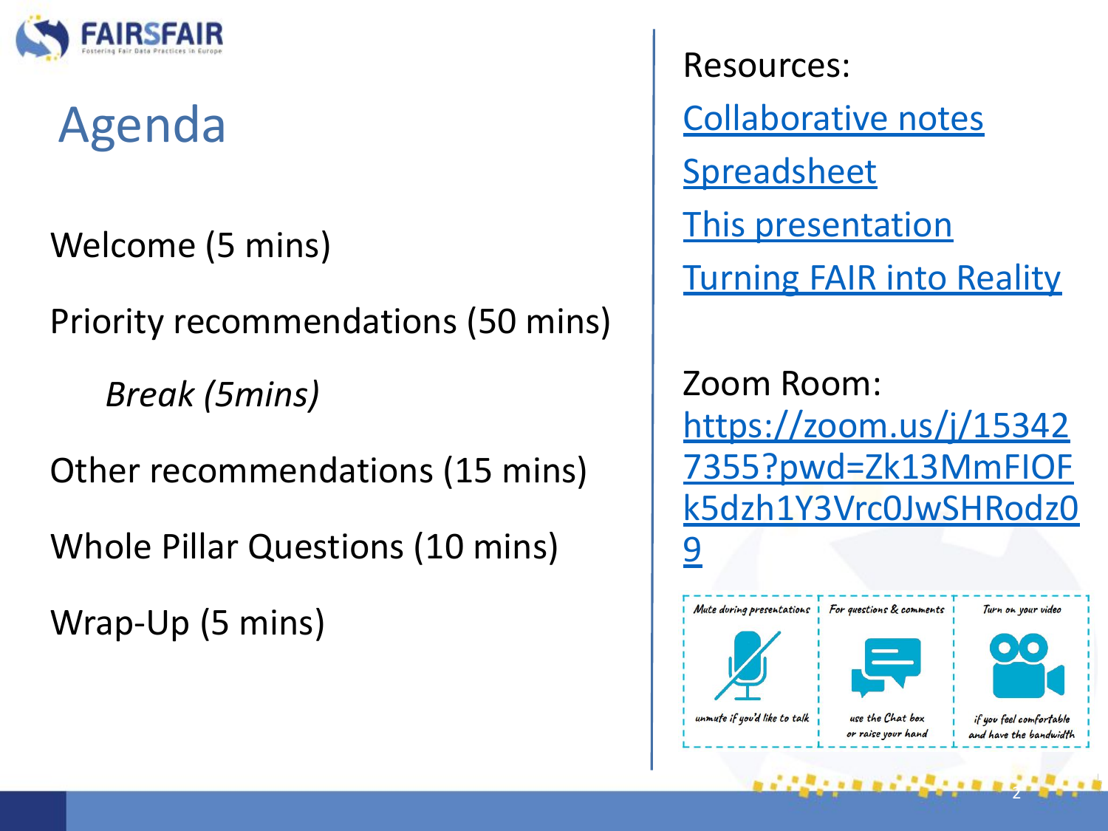

# Agenda

Welcome (5 mins)

Priority recommendations (50 mins)

*Break (5mins)* 

Other recommendations (15 mins)

Whole Pillar Questions (10 mins)

Wrap-Up (5 mins)

Resources: [Collaborative notes](https://docs.google.com/document/d/1Xv7QSXqkhZkaYj1fVPn4sT2pN5GMzBePZj1IPd8RA0c/edit) **[Spreadsheet](https://docs.google.com/spreadsheets/d/1gFm3XK4JEN5rdKEpq1HWpJM6iurckf6EByevXxR6wmE/edit?usp=sharing)** This presentation [Turning FAIR into Reality](https://ec.europa.eu/info/sites/info/files/turning_fair_into_reality_1.pdf)

Zoom Room: [https://zoom.us/j/15342](https://zoom.us/j/153427355?pwd=Zk13MmFIOFk5dzh1Y3Vrc0JwSHRodz09) [7355?pwd=Zk13MmFIOF](https://zoom.us/j/153427355?pwd=Zk13MmFIOFk5dzh1Y3Vrc0JwSHRodz09) [k5dzh1Y3Vrc0JwSHRodz0](https://zoom.us/j/153427355?pwd=Zk13MmFIOFk5dzh1Y3Vrc0JwSHRodz09) <u>[9](https://zoom.us/j/153427355?pwd=Zk13MmFIOFk5dzh1Y3Vrc0JwSHRodz09)</u>



2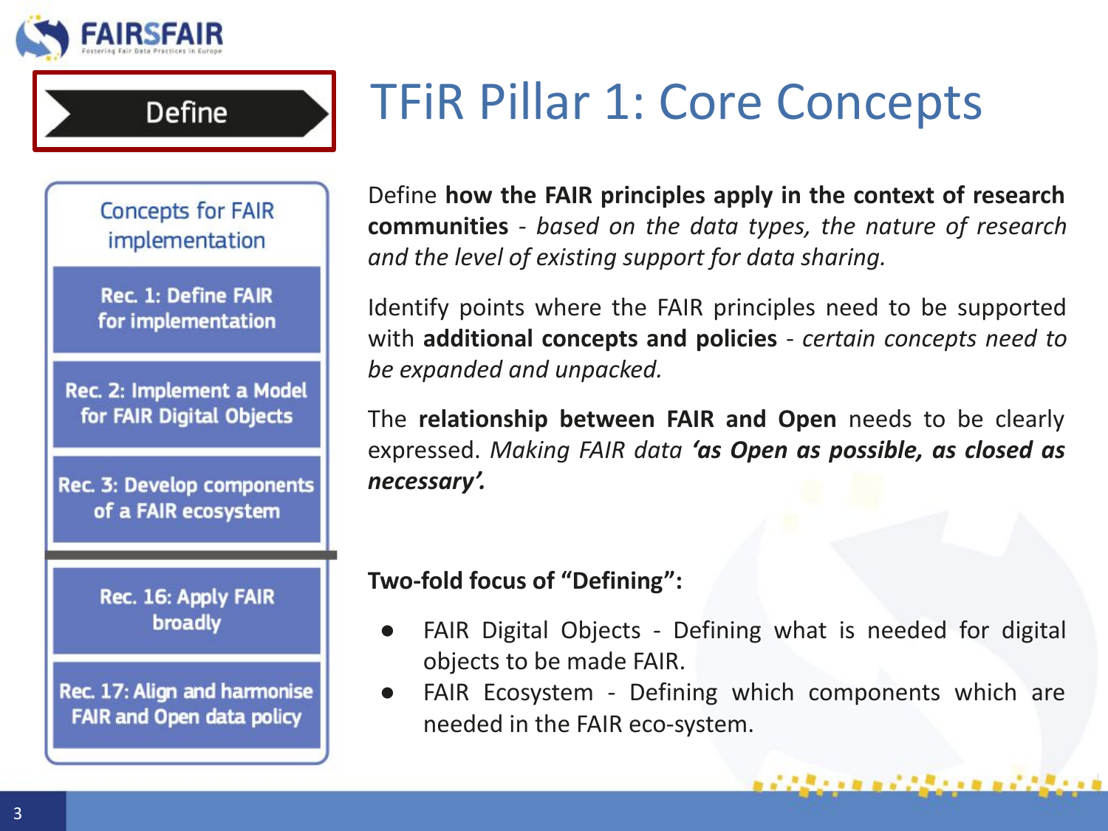

**Concepts for FAIR** implementation

**Define** 

**Rec. 1: Define FAIR** for implementation

Rec. 2: Implement a Model for FAIR Digital Objects

Rec. 3: Develop components of a FAIR ecosystem

> Rec. 16: Apply FAIR broadly

Rec. 17: Align and harmonise **FAIR and Open data policy** 

Define **how the FAIR principles apply in the context of research communities** *- based on the data types, the nature of research and the level of existing support for data sharing.* 

Identify points where the FAIR principles need to be supported with **additional concepts and policies** *- certain concepts need to be expanded and unpacked.* 

The **relationship between FAIR and Open** needs to be clearly expressed. *Making FAIR data 'as Open as possible, as closed as necessary'.*

**Two-fold focus of "Defining":** 

- FAIR Digital Objects Defining what is needed for digital objects to be made FAIR.
- FAIR Ecosystem Defining which components which are needed in the FAIR eco-system.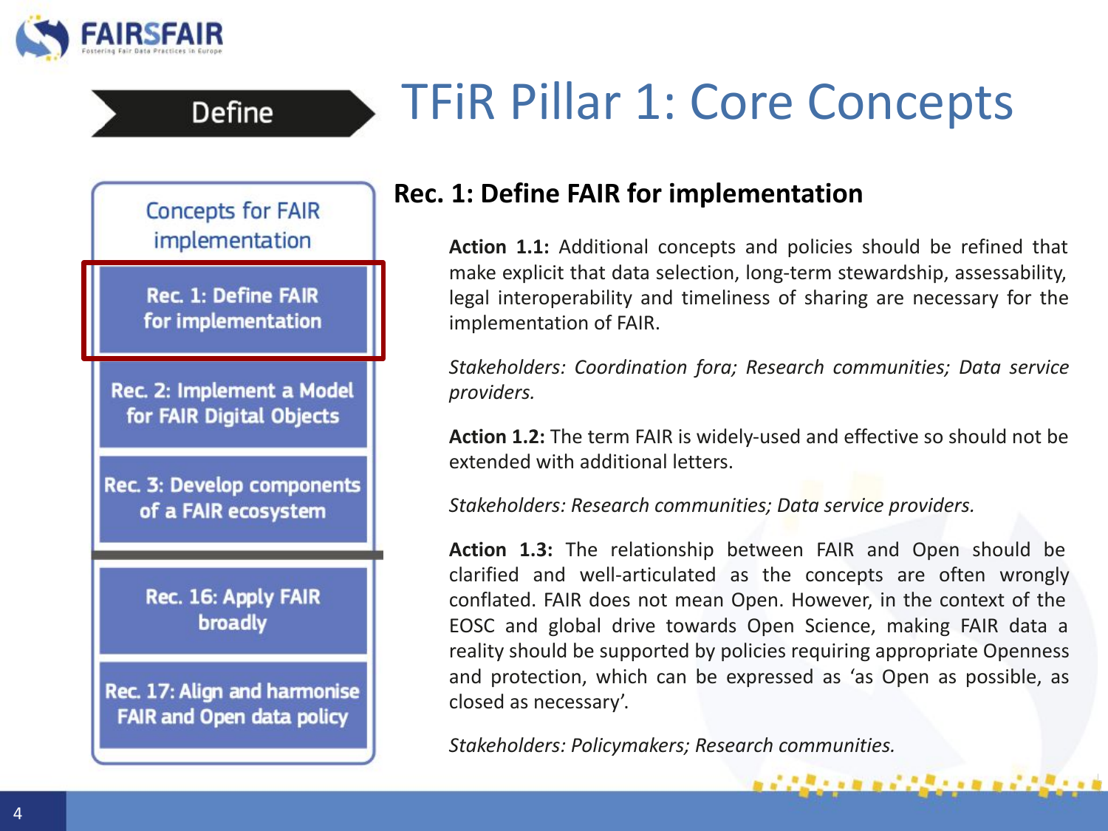



**Define** 

### **Rec. 1: Define FAIR for implementation**

**Action 1.1:** Additional concepts and policies should be refined that make explicit that data selection, long-term stewardship, assessability, legal interoperability and timeliness of sharing are necessary for the implementation of FAIR.

*Stakeholders: Coordination fora; Research communities; Data service providers.*

**Action 1.2:** The term FAIR is widely-used and effective so should not be extended with additional letters.

*Stakeholders: Research communities; Data service providers.*

**Action 1.3:** The relationship between FAIR and Open should be clarified and well-articulated as the concepts are often wrongly conflated. FAIR does not mean Open. However, in the context of the EOSC and global drive towards Open Science, making FAIR data a reality should be supported by policies requiring appropriate Openness and protection, which can be expressed as 'as Open as possible, as closed as necessary'.

医血管 医过度透明 医血管反射法

*Stakeholders: Policymakers; Research communities.*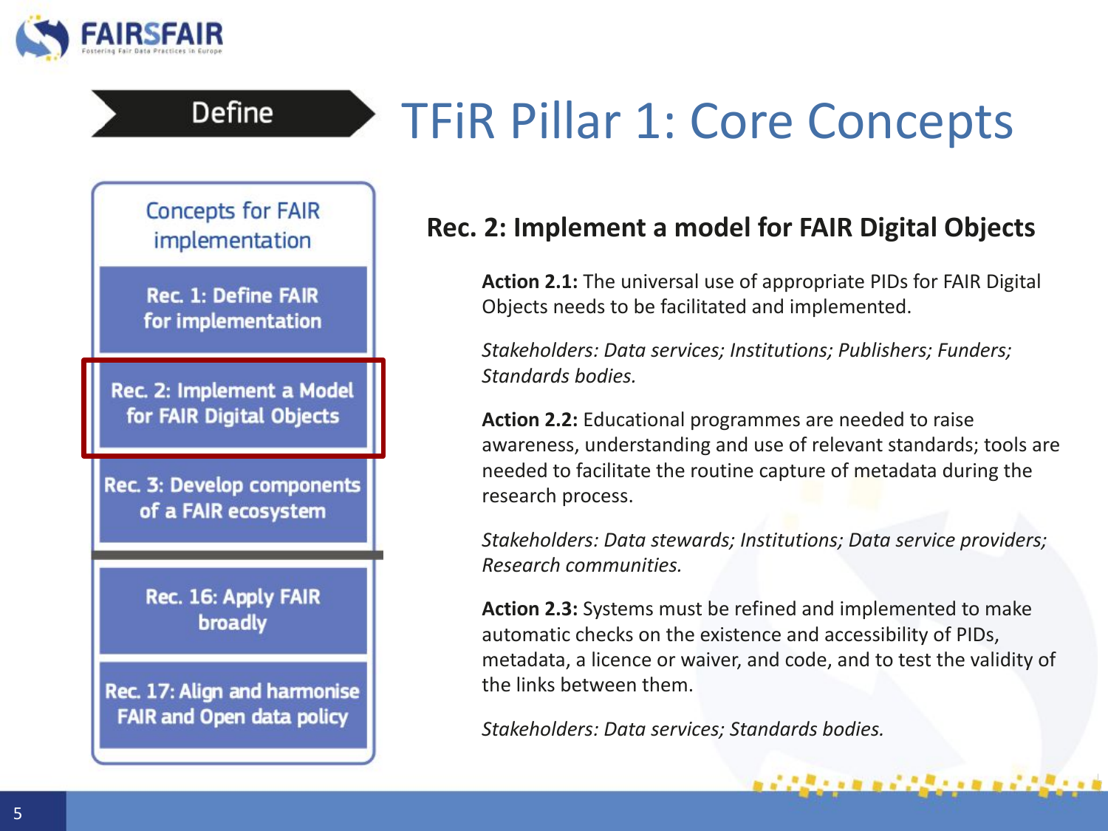

**Concepts for FAIR** implementation

**Define** 

**Rec. 1: Define FAIR** for implementation

Rec. 2: Implement a Model for FAIR Digital Objects

**Rec. 3: Develop components** of a FAIR ecosystem

> Rec. 16: Apply FAIR broadly

Rec. 17: Align and harmonise **FAIR and Open data policy** 

### **Rec. 2: Implement a model for FAIR Digital Objects**

**Action 2.1:** The universal use of appropriate PIDs for FAIR Digital Objects needs to be facilitated and implemented.

*Stakeholders: Data services; Institutions; Publishers; Funders; Standards bodies.*

**Action 2.2:** Educational programmes are needed to raise awareness, understanding and use of relevant standards; tools are needed to facilitate the routine capture of metadata during the research process.

*Stakeholders: Data stewards; Institutions; Data service providers; Research communities.*

**Action 2.3:** Systems must be refined and implemented to make automatic checks on the existence and accessibility of PIDs, metadata, a licence or waiver, and code, and to test the validity of the links between them.

,,,,,,,,,,,,,,,,,,,

*Stakeholders: Data services; Standards bodies.*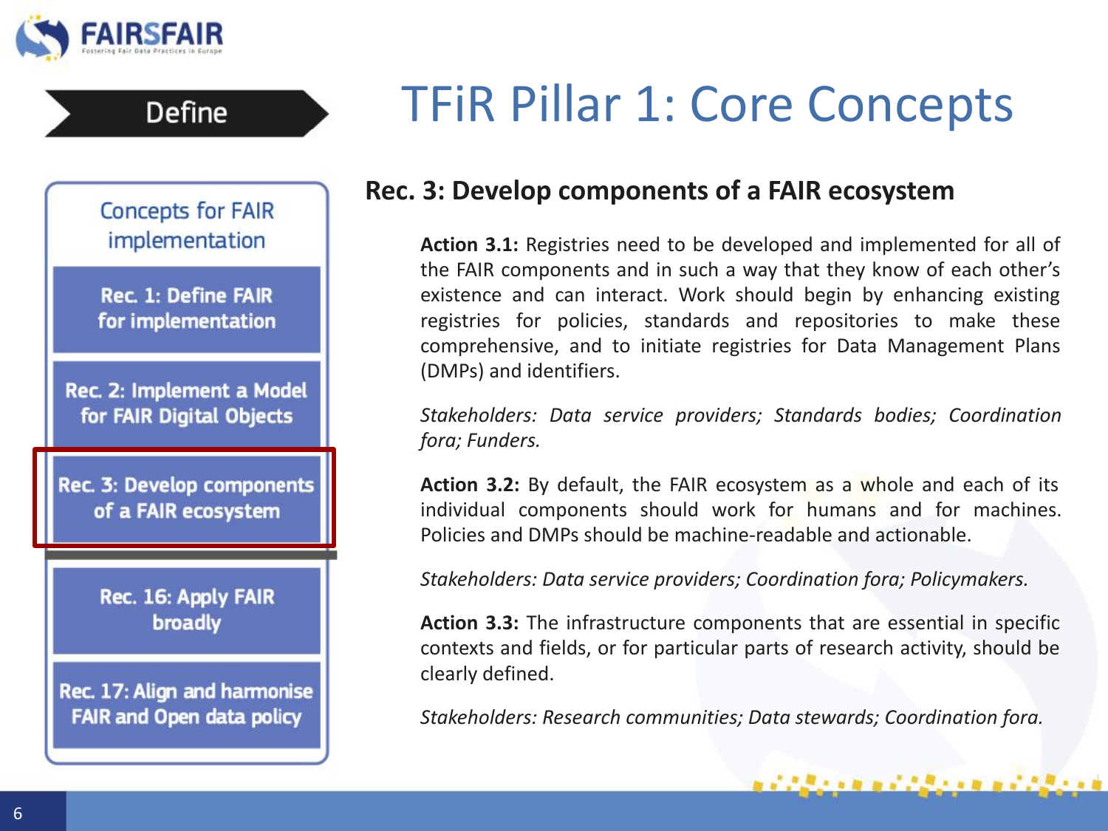

### **Rec. 3: Develop components of a FAIR ecosystem**

**Action 3.1:** Registries need to be developed and implemented for all of the FAIR components and in such a way that they know of each other's existence and can interact. Work should begin by enhancing existing registries for policies, standards and repositories to make these comprehensive, and to initiate registries for Data Management Plans (DMPs) and identifiers.

*Stakeholders: Data service providers; Standards bodies; Coordination fora; Funders.*

**Action 3.2:** By default, the FAIR ecosystem as a whole and each of its individual components should work for humans and for machines. Policies and DMPs should be machine-readable and actionable.

*Stakeholders: Data service providers; Coordination fora; Policymakers.*

**Action 3.3:** The infrastructure components that are essential in specific contexts and fields, or for particular parts of research activity, should be clearly defined.

*Stakeholders: Research communities; Data stewards; Coordination fora.*

アクタイトル エアクタイトル エアクタイト

**Concepts for FAIR** implementation

**Define** 

**Rec. 1: Define FAIR** for implementation

Rec. 2: Implement a Model for FAIR Digital Objects

Rec. 3: Develop components of a FAIR ecosystem

> Rec. 16: Apply FAIR broadly

Rec. 17: Align and harmonise **FAIR and Open data policy**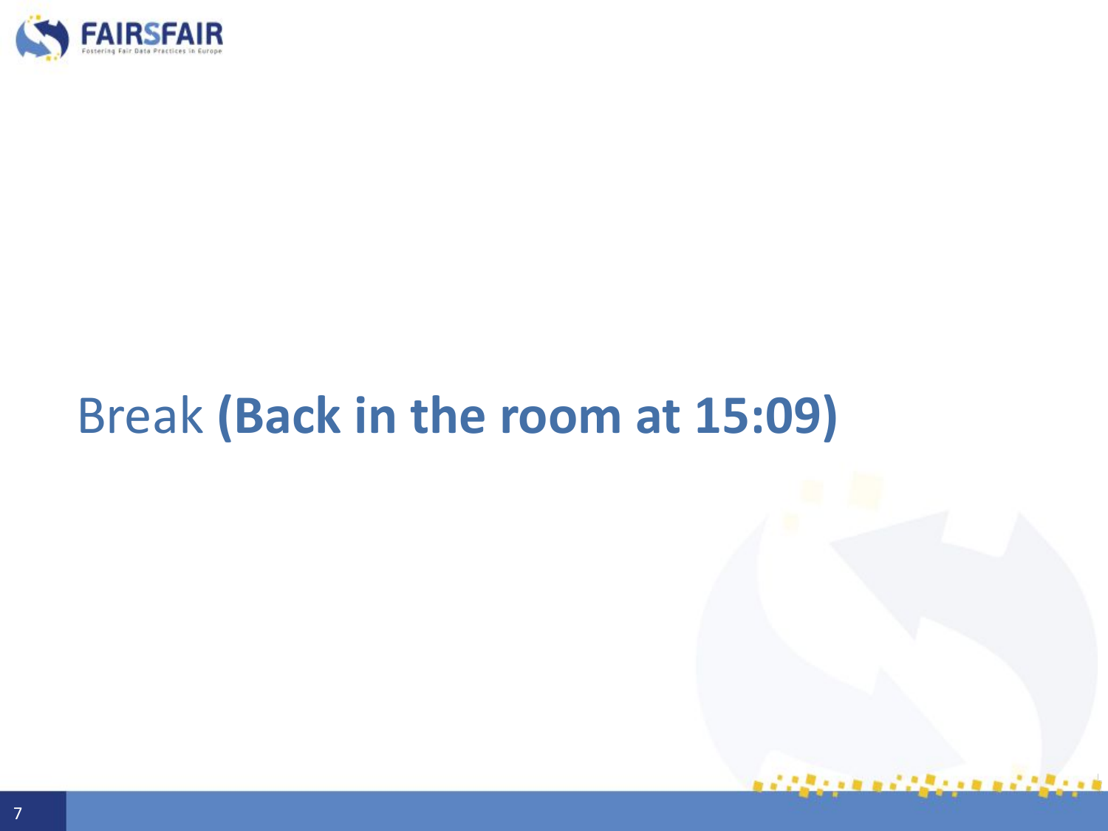

# Break **(Back in the room at 15:09)**

 $1.68 \times 10^{10}$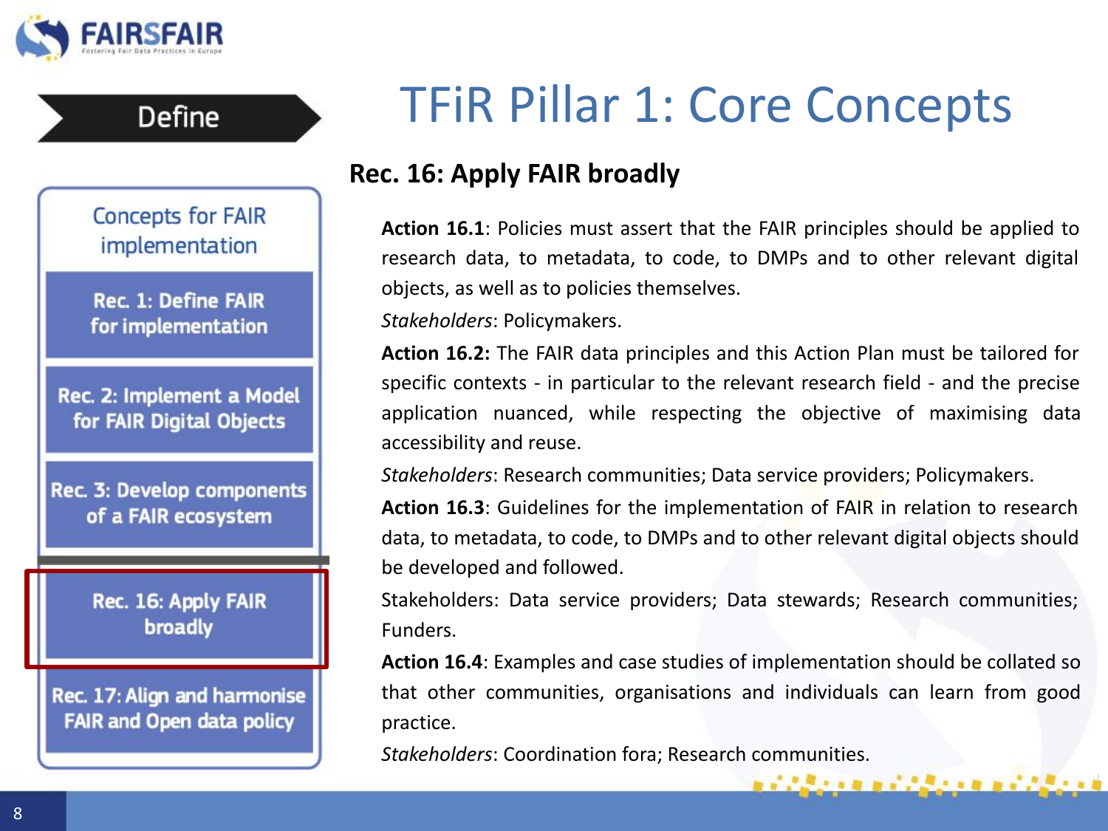

Define



# TFiR Pillar 1: Core Concepts

### **Rec. 16: Apply FAIR broadly**

**Action 16.1**: Policies must assert that the FAIR principles should be applied to research data, to metadata, to code, to DMPs and to other relevant digital objects, as well as to policies themselves.

*Stakeholders*: Policymakers.

**Action 16.2:** The FAIR data principles and this Action Plan must be tailored for specific contexts - in particular to the relevant research field - and the precise application nuanced, while respecting the objective of maximising data accessibility and reuse.

*Stakeholders*: Research communities; Data service providers; Policymakers.

**Action 16.3**: Guidelines for the implementation of FAIR in relation to research data, to metadata, to code, to DMPs and to other relevant digital objects should be developed and followed.

Stakeholders: Data service providers; Data stewards; Research communities; Funders.

**Action 16.4**: Examples and case studies of implementation should be collated so that other communities, organisations and individuals can learn from good practice.

1939 - 1949 1939 1949 1959 1960

*Stakeholders*: Coordination fora; Research communities.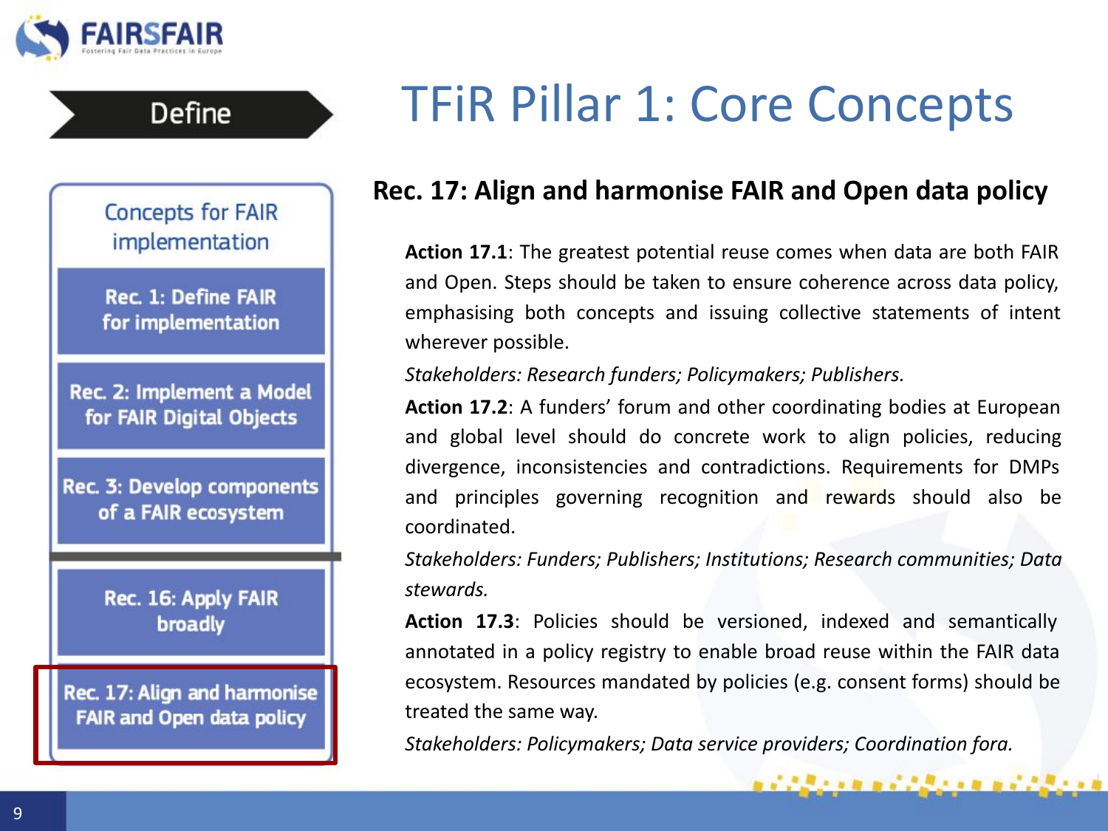

### **Rec. 17: Align and harmonise FAIR and Open data policy**

**Action 17.1**: The greatest potential reuse comes when data are both FAIR and Open. Steps should be taken to ensure coherence across data policy, emphasising both concepts and issuing collective statements of intent wherever possible.

#### *Stakeholders: Research funders; Policymakers; Publishers.*

**Action 17.2**: A funders' forum and other coordinating bodies at European and global level should do concrete work to align policies, reducing divergence, inconsistencies and contradictions. Requirements for DMPs and principles governing recognition and rewards should also be coordinated.

*Stakeholders: Funders; Publishers; Institutions; Research communities; Data stewards.*

**Action 17.3**: Policies should be versioned, indexed and semantically annotated in a policy registry to enable broad reuse within the FAIR data ecosystem. Resources mandated by policies (e.g. consent forms) should be treated the same way.

*Stakeholders: Policymakers; Data service providers; Coordination fora.*

**Concepts for FAIR** implementation

**Define** 

**Rec. 1: Define FAIR** for implementation

Rec. 2: Implement a Model for FAIR Digital Objects

**Rec. 3: Develop components** of a FAIR ecosystem

> Rec. 16: Apply FAIR broadly

Rec. 17: Align and harmonise **FAIR and Open data policy**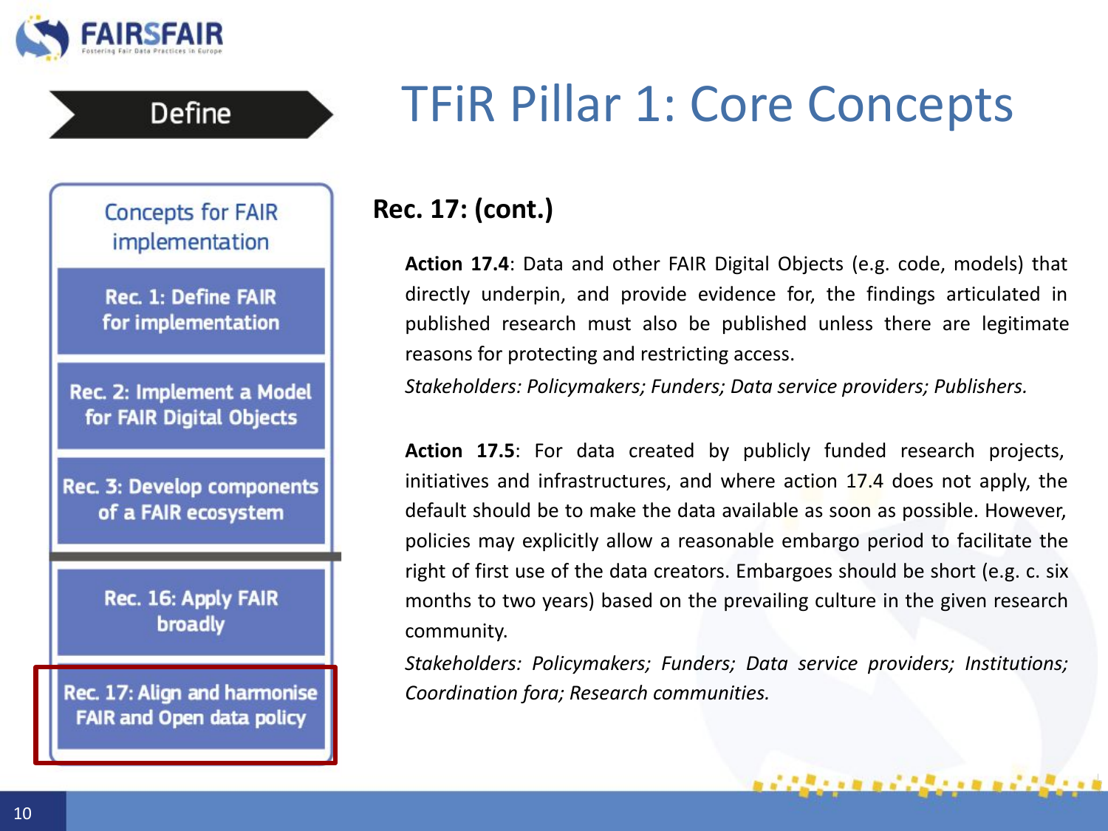

**Concepts for FAIR** implementation

**Define** 

**Rec. 1: Define FAIR** for implementation

Rec. 2: Implement a Model for FAIR Digital Objects

**Rec. 3: Develop components** of a FAIR ecosystem

> Rec. 16: Apply FAIR broadly

Rec. 17: Align and harmonise **FAIR and Open data policy** 

### **Rec. 17: (cont.)**

**Action 17.4**: Data and other FAIR Digital Objects (e.g. code, models) that directly underpin, and provide evidence for, the findings articulated in published research must also be published unless there are legitimate reasons for protecting and restricting access.

*Stakeholders: Policymakers; Funders; Data service providers; Publishers.*

**Action 17.5**: For data created by publicly funded research projects, initiatives and infrastructures, and where action 17.4 does not apply, the default should be to make the data available as soon as possible. However, policies may explicitly allow a reasonable embargo period to facilitate the right of first use of the data creators. Embargoes should be short (e.g. c. six months to two years) based on the prevailing culture in the given research community.

*Stakeholders: Policymakers; Funders; Data service providers; Institutions; Coordination fora; Research communities.*

,,,,,,,,,,,,,,,,,,,,,,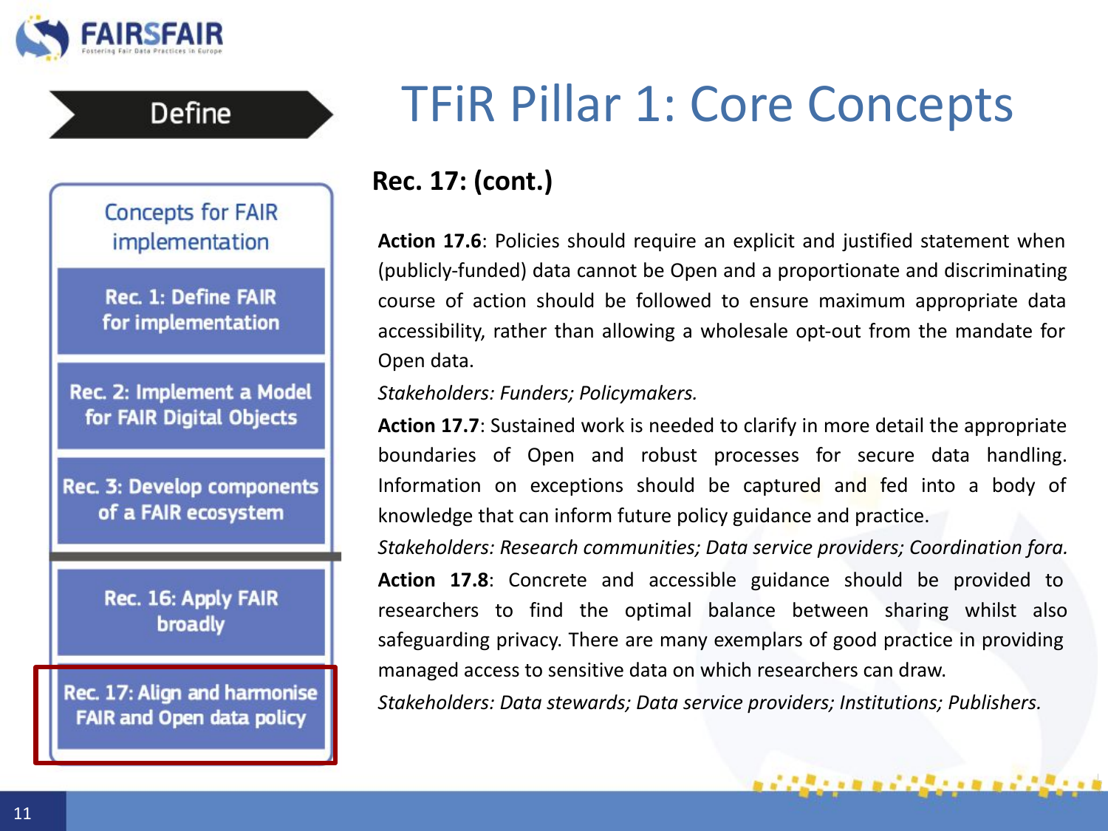

**Define** 

## TFiR Pillar 1: Core Concepts

### **Rec. 17: (cont.)**

**Action 17.6**: Policies should require an explicit and justified statement when (publicly-funded) data cannot be Open and a proportionate and discriminating course of action should be followed to ensure maximum appropriate data accessibility, rather than allowing a wholesale opt-out from the mandate for Open data.

### *Stakeholders: Funders; Policymakers.*

**Action 17.7**: Sustained work is needed to clarify in more detail the appropriate boundaries of Open and robust processes for secure data handling. Information on exceptions should be captured and fed into a body of knowledge that can inform future policy guidance and practice.

*Stakeholders: Research communities; Data service providers; Coordination fora.* **Action 17.8**: Concrete and accessible guidance should be provided to researchers to find the optimal balance between sharing whilst also safeguarding privacy. There are many exemplars of good practice in providing managed access to sensitive data on which researchers can draw.

*Stakeholders: Data stewards; Data service providers; Institutions; Publishers.*

,,,,,,,,,,,,,,,,,,,,,,

**Concepts for FAIR** implementation

**Rec. 1: Define FAIR** for implementation

Rec. 2: Implement a Model for FAIR Digital Objects

Rec. 3: Develop components of a FAIR ecosystem

> Rec. 16: Apply FAIR broadly

Rec. 17: Align and harmonise **FAIR and Open data policy**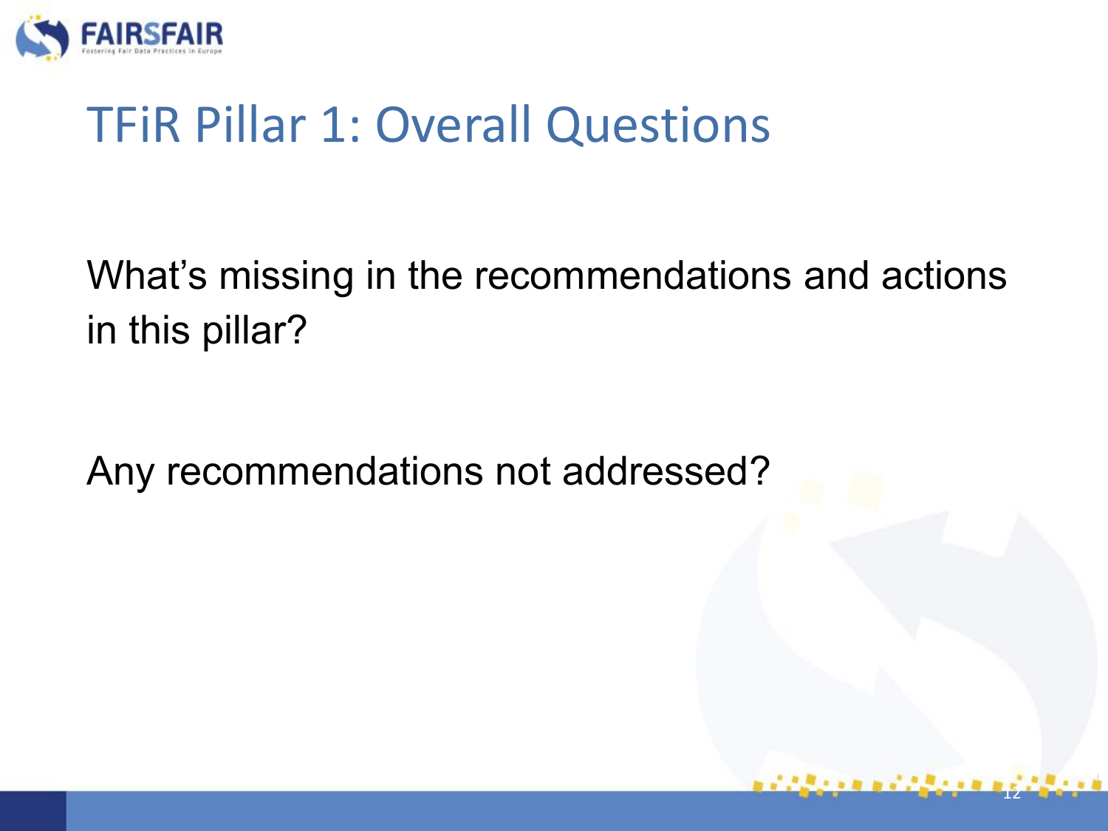

### TFiR Pillar 1: Overall Questions

What's missing in the recommendations and actions in this pillar?

12

Any recommendations not addressed?